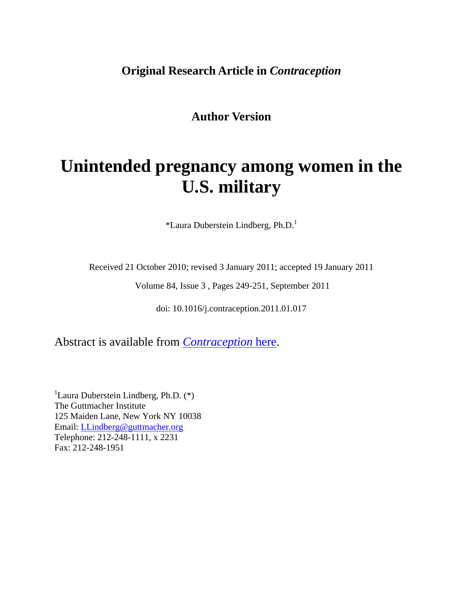# **Original Research Article in** *Contraception*

**Author Version** 

# **Unintended pregnancy among women in the U.S. military**

 $*$ Laura Duberstein Lindberg, Ph.D.<sup>1</sup>

Received 21 October 2010; revised 3 January 2011; accepted 19 January 2011

Volume 84, Issue 3 , Pages 249-251, September 2011

doi: 10.1016/j.contraception.2011.01.017

Abstract is available from *[Contraception](http://www.contraceptionjournal.org/article/S0010-7824%2811%2900026-6/abstract)* here.

<sup>1</sup>Laura Duberstein Lindberg, Ph.D.  $(*)$ The Guttmacher Institute 125 Maiden Lane, New York NY 10038 Email: [LLindberg@guttmacher.org](mailto:llindberg@guttmacher.org) Telephone: 212-248-1111, x 2231 Fax: 212-248-1951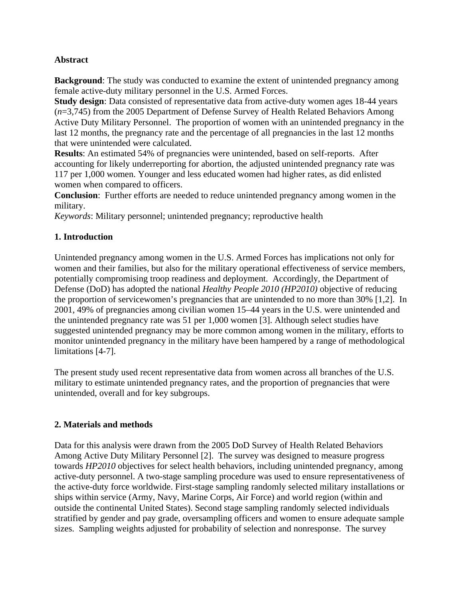## **Abstract**

**Background**: The study was conducted to examine the extent of unintended pregnancy among female active-duty military personnel in the U.S. Armed Forces.

**Study design:** Data consisted of representative data from active-duty women ages 18-44 years (*n*=3,745) from the 2005 Department of Defense Survey of Health Related Behaviors Among Active Duty Military Personnel. The proportion of women with an unintended pregnancy in the last 12 months, the pregnancy rate and the percentage of all pregnancies in the last 12 months that were unintended were calculated.

**Results**: An estimated 54% of pregnancies were unintended, based on self-reports. After accounting for likely underreporting for abortion, the adjusted unintended pregnancy rate was 117 per 1,000 women. Younger and less educated women had higher rates, as did enlisted women when compared to officers.

**Conclusion**: Further efforts are needed to reduce unintended pregnancy among women in the military.

*Keywords*: Military personnel; unintended pregnancy; reproductive health

## **1. Introduction**

Unintended pregnancy among women in the U.S. Armed Forces has implications not only for women and their families, but also for the military operational effectiveness of service members, potentially compromising troop readiness and deployment. Accordingly, the Department of Defense (DoD) has adopted the national *Healthy People 2010 (HP2010)* objective of reducing the proportion of servicewomen's pregnancies that are unintended to no more than 30% [1,2]. In 2001, 49% of pregnancies among civilian women 15–44 years in the U.S. were unintended and the unintended pregnancy rate was 51 per 1,000 women [3]. Although select studies have suggested unintended pregnancy may be more common among women in the military, efforts to monitor unintended pregnancy in the military have been hampered by a range of methodological limitations [4-7].

The present study used recent representative data from women across all branches of the U.S. military to estimate unintended pregnancy rates, and the proportion of pregnancies that were unintended, overall and for key subgroups.

#### **2. Materials and methods**

Data for this analysis were drawn from the 2005 DoD Survey of Health Related Behaviors Among Active Duty Military Personnel [2]. The survey was designed to measure progress towards *HP2010* objectives for select health behaviors, including unintended pregnancy, among active-duty personnel. A two-stage sampling procedure was used to ensure representativeness of the active-duty force worldwide. First-stage sampling randomly selected military installations or ships within service (Army, Navy, Marine Corps, Air Force) and world region (within and outside the continental United States). Second stage sampling randomly selected individuals stratified by gender and pay grade, oversampling officers and women to ensure adequate sample sizes. Sampling weights adjusted for probability of selection and nonresponse. The survey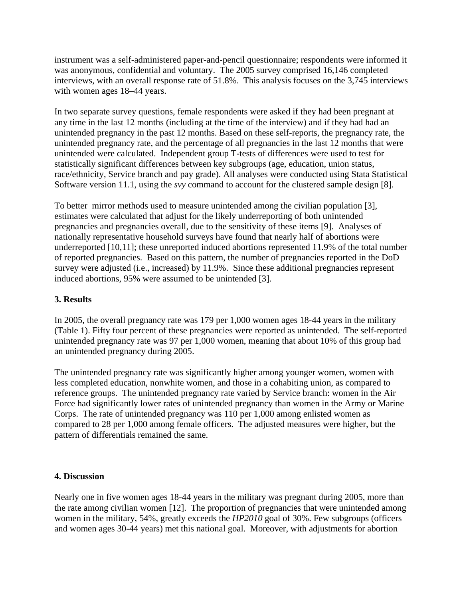instrument was a self-administered paper-and-pencil questionnaire; respondents were informed it was anonymous, confidential and voluntary. The 2005 survey comprised 16,146 completed interviews, with an overall response rate of 51.8%. This analysis focuses on the 3,745 interviews with women ages 18–44 years.

In two separate survey questions, female respondents were asked if they had been pregnant at any time in the last 12 months (including at the time of the interview) and if they had had an unintended pregnancy in the past 12 months. Based on these self-reports, the pregnancy rate, the unintended pregnancy rate, and the percentage of all pregnancies in the last 12 months that were unintended were calculated. Independent group T-tests of differences were used to test for statistically significant differences between key subgroups (age, education, union status, race/ethnicity, Service branch and pay grade). All analyses were conducted using Stata Statistical Software version 11.1, using the *svy* command to account for the clustered sample design [8].

To better mirror methods used to measure unintended among the civilian population [3], estimates were calculated that adjust for the likely underreporting of both unintended pregnancies and pregnancies overall, due to the sensitivity of these items [9]. Analyses of nationally representative household surveys have found that nearly half of abortions were underreported [10,11]; these unreported induced abortions represented 11.9% of the total number of reported pregnancies. Based on this pattern, the number of pregnancies reported in the DoD survey were adjusted (i.e., increased) by 11.9%. Since these additional pregnancies represent induced abortions, 95% were assumed to be unintended [3].

#### **3. Results**

In 2005, the overall pregnancy rate was 179 per 1,000 women ages 18-44 years in the military (Table 1). Fifty four percent of these pregnancies were reported as unintended. The self-reported unintended pregnancy rate was 97 per 1,000 women, meaning that about 10% of this group had an unintended pregnancy during 2005.

The unintended pregnancy rate was significantly higher among younger women, women with less completed education, nonwhite women, and those in a cohabiting union, as compared to reference groups. The unintended pregnancy rate varied by Service branch: women in the Air Force had significantly lower rates of unintended pregnancy than women in the Army or Marine Corps. The rate of unintended pregnancy was 110 per 1,000 among enlisted women as compared to 28 per 1,000 among female officers. The adjusted measures were higher, but the pattern of differentials remained the same.

#### **4. Discussion**

Nearly one in five women ages 18-44 years in the military was pregnant during 2005, more than the rate among civilian women [12]. The proportion of pregnancies that were unintended among women in the military, 54%, greatly exceeds the *HP2010* goal of 30%. Few subgroups (officers and women ages 30-44 years) met this national goal. Moreover, with adjustments for abortion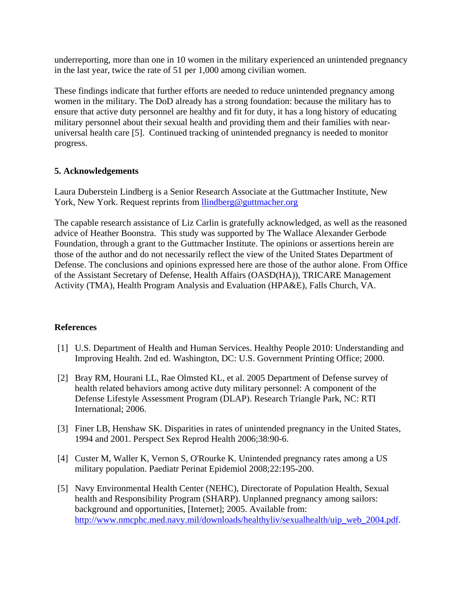underreporting, more than one in 10 women in the military experienced an unintended pregnancy in the last year, twice the rate of 51 per 1,000 among civilian women.

These findings indicate that further efforts are needed to reduce unintended pregnancy among women in the military. The DoD already has a strong foundation: because the military has to ensure that active duty personnel are healthy and fit for duty, it has a long history of educating military personnel about their sexual health and providing them and their families with nearuniversal health care [5]. Continued tracking of unintended pregnancy is needed to monitor progress.

#### **5. Acknowledgements**

Laura Duberstein Lindberg is a Senior Research Associate at the Guttmacher Institute, New York, New York. Request reprints from [llindberg@guttmacher.org](mailto:llindberg@guttmacher.org)

The capable research assistance of Liz Carlin is gratefully acknowledged, as well as the reasoned advice of Heather Boonstra. This study was supported by The Wallace Alexander Gerbode Foundation, through a grant to the Guttmacher Institute. The opinions or assertions herein are those of the author and do not necessarily reflect the view of the United States Department of Defense. The conclusions and opinions expressed here are those of the author alone. From Office of the Assistant Secretary of Defense, Health Affairs (OASD(HA)), TRICARE Management Activity (TMA), Health Program Analysis and Evaluation (HPA&E), Falls Church, VA.

#### **References**

- [1] U.S. Department of Health and Human Services. Healthy People 2010: Understanding and Improving Health. 2nd ed. Washington, DC: U.S. Government Printing Office; 2000.
- [2] Bray RM, Hourani LL, Rae Olmsted KL, et al. 2005 Department of Defense survey of health related behaviors among active duty military personnel: A component of the Defense Lifestyle Assessment Program (DLAP). Research Triangle Park, NC: RTI International; 2006.
- [3] Finer LB, Henshaw SK. Disparities in rates of unintended pregnancy in the United States, 1994 and 2001. Perspect Sex Reprod Health 2006;38:90-6.
- [4] Custer M, Waller K, Vernon S, O'Rourke K. Unintended pregnancy rates among a US military population. Paediatr Perinat Epidemiol 2008;22:195-200.
- [5] Navy Environmental Health Center (NEHC), Directorate of Population Health, Sexual health and Responsibility Program (SHARP). Unplanned pregnancy among sailors: background and opportunities, [Internet]; 2005. Available from: http://www.nmcphc.med.navy.mil/downloads/healthyliv/sexualhealth/uip\_web\_2004.pdf.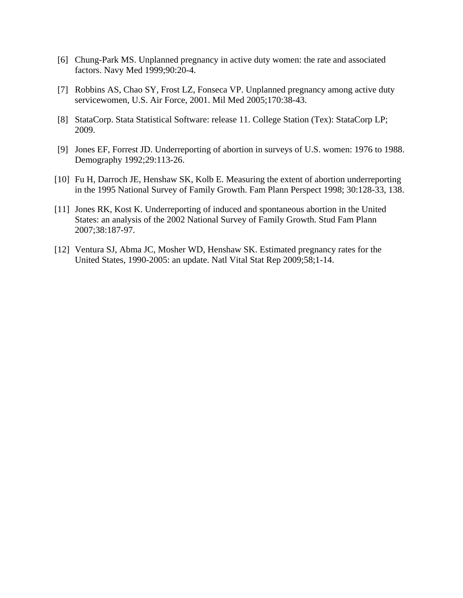- [6] Chung-Park MS. Unplanned pregnancy in active duty women: the rate and associated factors. Navy Med 1999;90:20-4.
- [7] Robbins AS, Chao SY, Frost LZ, Fonseca VP. Unplanned pregnancy among active duty servicewomen, U.S. Air Force, 2001. Mil Med 2005;170:38-43.
- [8] StataCorp. Stata Statistical Software: release 11. College Station (Tex): StataCorp LP; 2009.
- [9] Jones EF, Forrest JD. Underreporting of abortion in surveys of U.S. women: 1976 to 1988. Demography 1992;29:113-26.
- [10] Fu H, Darroch JE, Henshaw SK, Kolb E. Measuring the extent of abortion underreporting in the 1995 National Survey of Family Growth. Fam Plann Perspect 1998; 30:128-33, 138.
- [11] Jones RK, Kost K. Underreporting of induced and spontaneous abortion in the United States: an analysis of the 2002 National Survey of Family Growth. Stud Fam Plann 2007;38:187-97.
- [12] Ventura SJ, Abma JC, Mosher WD, Henshaw SK. Estimated pregnancy rates for the United States, 1990-2005: an update. Natl Vital Stat Rep 2009;58;1-14.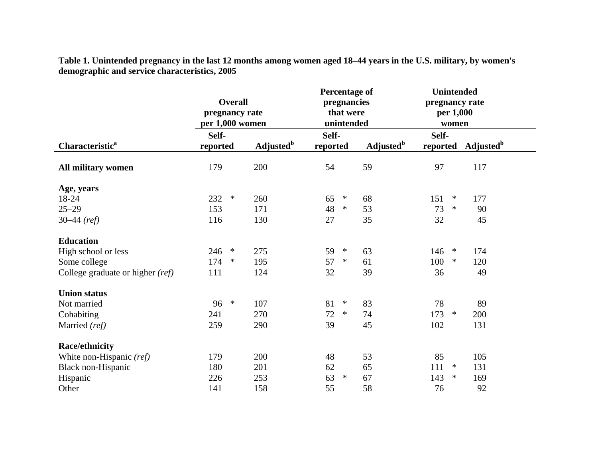|                                  | <b>Overall</b><br>pregnancy rate<br>per 1,000 women |                              | <b>Percentage of</b><br>pregnancies<br>that were<br>unintended |                              | <b>Unintended</b><br>pregnancy rate<br>per 1,000<br>women |                              |
|----------------------------------|-----------------------------------------------------|------------------------------|----------------------------------------------------------------|------------------------------|-----------------------------------------------------------|------------------------------|
|                                  | Self-                                               |                              | Self-                                                          |                              | Self-                                                     |                              |
| Characteristic <sup>a</sup>      | reported                                            | <b>Adjusted</b> <sup>b</sup> | reported                                                       | <b>Adjusted</b> <sup>b</sup> | reported                                                  | <b>Adjusted</b> <sup>b</sup> |
| All military women               | 179                                                 | 200                          | 54                                                             | 59                           | 97                                                        | 117                          |
| Age, years                       |                                                     |                              |                                                                |                              |                                                           |                              |
| 18-24                            | 232<br>$\ast$                                       | 260                          | $\ast$<br>65                                                   | 68                           | 151<br>$\ast$                                             | 177                          |
| $25 - 29$                        | 153                                                 | 171                          | 48<br>$\ast$                                                   | 53                           | 73<br>$\ast$                                              | 90                           |
| $30-44$ (ref)                    | 116                                                 | 130                          | 27                                                             | 35                           | 32                                                        | 45                           |
| <b>Education</b>                 |                                                     |                              |                                                                |                              |                                                           |                              |
| High school or less              | 246<br>$\ast$                                       | 275                          | 59<br>$\ast$                                                   | 63                           | 146<br>$\ast$                                             | 174                          |
| Some college                     | 174<br>∗                                            | 195                          | 57<br>$\ast$                                                   | 61                           | 100<br>$\ast$                                             | 120                          |
| College graduate or higher (ref) | 111                                                 | 124                          | 32                                                             | 39                           | 36                                                        | 49                           |
| <b>Union status</b>              |                                                     |                              |                                                                |                              |                                                           |                              |
| Not married                      | $\ast$<br>96                                        | 107                          | $\ast$<br>81                                                   | 83                           | 78                                                        | 89                           |
| Cohabiting                       | 241                                                 | 270                          | $\ast$<br>72                                                   | 74                           | 173<br>$\ast$                                             | 200                          |
| Married (ref)                    | 259                                                 | 290                          | 39                                                             | 45                           | 102                                                       | 131                          |
| <b>Race/ethnicity</b>            |                                                     |                              |                                                                |                              |                                                           |                              |
| White non-Hispanic (ref)         | 179                                                 | 200                          | 48                                                             | 53                           | 85                                                        | 105                          |
| Black non-Hispanic               | 180                                                 | 201                          | 62                                                             | 65                           | 111<br>$\ast$                                             | 131                          |
| Hispanic                         | 226                                                 | 253                          | 63<br>$\ast$                                                   | 67                           | $\ast$<br>143                                             | 169                          |
| Other                            | 141                                                 | 158                          | 55                                                             | 58                           | 76                                                        | 92                           |

**Table 1. Unintended pregnancy in the last 12 months among women aged 18–44 years in the U.S. military, by women's demographic and service characteristics, 2005**